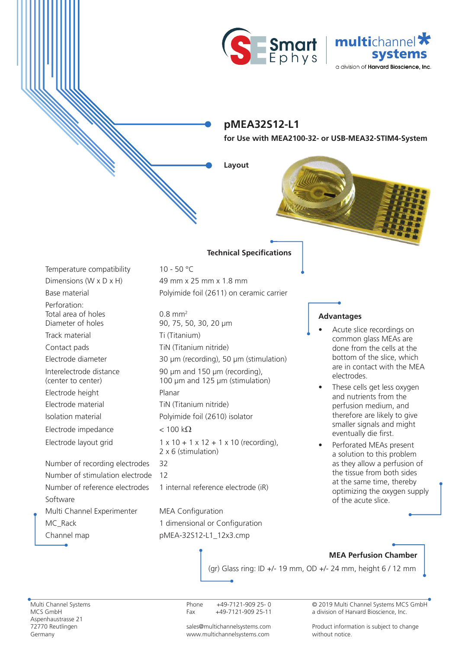



## **pMEA32S12-L1**

**for Use with MEA2100-32- or USB-MEA32-STIM4-System**

**Layout**

Perforation: Total area of holes Diameter of holes Track material Ti (Titanium) Contact pads TiN (Titanium nitride) Interelectrode distance (center to center) Electrode height Planar Electrode material TiN (Titanium nitride) Electrode impedance  $\langle 100 \text{ k}\Omega \rangle$ Number of recording electrodes 32

24-We 24- 24-WeWe

24- 24- 24-WeWeWe

n<br>K

Number of stimulation electrode 12 Software Multi Channel Experimenter MEA Configuration MC\_Rack 1 dimensional or Configuration Channel map bMEA-32S12-L1\_12x3.cmp

## **Technical Specifications**

Temperature compatibility 10 - 50 °C Dimensions (W  $\times$  D  $\times$  H) 49 mm  $\times$  25 mm  $\times$  1.8 mm Base material **Polyimide foil (2611)** on ceramic carrier

0.8 mm2 90, 75, 50, 30, 20 µm Electrode diameter 30 µm (recording), 50 µm (stimulation) 90 µm and 150 µm (recording), 100 µm and 125 µm (stimulation) Isolation material Polyimide foil (2610) isolator Electrode layout grid  $1 \times 10 + 1 \times 12 + 1 \times 10$  (recording), 2 x 6 (stimulation)

Number of reference electrodes 1 internal reference electrode (iR)

## **Advantages**

- Acute slice recordings on common glass MEAs are done from the cells at the bottom of the slice, which are in contact with the MEA electrodes.
- These cells get less oxygen and nutrients from the perfusion medium, and therefore are likely to give smaller signals and might eventually die first.
- Perforated MEAs present a solution to this problem as they allow a perfusion of the tissue from both sides at the same time, thereby optimizing the oxygen supply of the acute slice.

## **MEA Perfusion Chamber**

(gr) Glass ring: ID +/- 19 mm, OD +/- 24 mm, height 6 / 12 mm

Multi Channel Systems MCS GmbH Aspenhaustrasse 21 72770 Reutlingen Germany

Phone +49-7121-909 25- 0 Fax +49-7121-909 25-11

sales@multichannelsystems.com www.multichannelsystems.com

© 2019 Multi Channel Systems MCS GmbH a division of Harvard Bioscience, Inc.

Product information is subject to change without notice